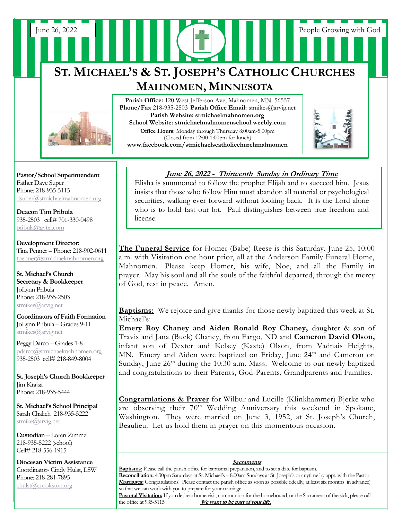# **ST. MICHAEL'S & ST. JOSEPH'S CATHOLIC CHURCHES MAHNOMEN, MINNESOTA**

June 26, 2022 People Growing with God



**Pastor/School Superintendent** Father Dave Super Phone: 218-935-5115 [dsuper@stmichaelmahnomen.org](mailto:dsuper@stmichaelmahnomen.org)

**Deacon Tim Pribula** 935-2503 cell# 701-330-0498 [pribula@gvtel.com](mailto:pribula@gvtel.com)

**Development Director:** Tina Penner – Phone: 218-902-0611 [tpenner@stmichaelmahnomen.org](mailto:tpenner@stmichaelmahnomen.org)

**St. Michael's Church Secretary & Bookkeeper** JoLynn Pribula Phone: 218-935-2503 stmikes@arvig.net

**Coordinators of Faith Formation**  JoLynn Pribula – Grades 9-11 stmikes@arvig.net

Peggy Darco – Grades 1-8 [pdarco@stmichaelmahnomen.org](mailto:pdarco@stmichaelmahnomen.org) 935-2503 cell# 218-849-8004

**St. Joseph's Church Bookkeeper** Jim Krajsa Phone: 218-935-5444

**St. Michael's School Principal** Sarah Chalich 218-935-5222 [stmike@arvig.net](mailto:stmike@arvig.net) 

**Custodian** – Loren Zimmel 218-935-5222 (school) Cell# 218-556-1915

**Diocesan Victim Assistance** Coordinator- Cindy Hulst, LSW Phone: 218-281-7895 [chulst@crookston.org](mailto:chulst@crookston.org)

j

Parish Office: 120 West Jefferson Ave, Mahnomen, MN 56557 **Phone/Fax** 218-935-2503 **Parish Office Email:** stmikes@arvig.net **Parish Website: stmichaelmahnomen.org School Website: stmichaelmahnomenschool.weebly.com**

**Office Hours:** Monday through Thursday 8:00am-5:00pm (Closed from 12:00-1:00pm for lunch) **www.facebook.com/stmichaelscatholicchurchmahnomen**

St. Joseph's Goal is \$5,629.00 and 27 Parishioners have



## **June 26, 2022 - Thirteenth Sunday in Ordinary Time**

Elisha is summoned to follow the prophet Elijah and to succeed him. Jesus insists that those who follow Him must abandon all material or psychological securities, walking ever forward without looking back. It is the Lord alone who is to hold fast our lot. Paul distinguishes between true freedom and license. *that time. Thank you, one and all! DAA Envelopes* 

**The Funeral Service** for Homer (Babe) Reese is this Saturday, June 25, 10:00 a.m. with Visitation one hour prior, all at the Anderson Family Funeral Home, Mahnomen. Please keep Homer, his wife, Noe, and all the Family in prayer. May his soul and all the souls of the faithful departed, through the mercy of God, rest in peace. Amen.

**Baptisms:** We rejoice and give thanks for those newly baptized this week at St. Michael's:

**Emery Roy Chaney and Aiden Ronald Roy Chaney,** daughter & son of Travis and Jana (Buck) Chaney, from Fargo, ND and **Cameron David Olson,**  infant son of Dexter and Kelsey (Kaste) Olson, from Vadnais Heights, MN. Emery and Aiden were baptized on Friday, June 24<sup>th</sup> and Cameron on Sunday, June  $26<sup>th</sup>$  during the 10:30 a.m. Mass. Welcome to our newly baptized and congratulations to their Parents, God-Parents, Grandparents and Families.

**Congratulations & Prayer** for Wilbur and Lucille (Klinkhammer) Bjerke who are observing their  $70^{th}$  Wedding Anniversary this weekend in Spokane, Washington. They were married on June 3, 1952, at St. Joseph's Church, Beaulieu. Let us hold them in prayer on this momentous occasion.

#### **Sacraments**

**Baptisms:** Please call the parish office for baptismal preparation, and to set a date for baptism.

**Reconciliation:** 4:30pm Saturdays at St. Michael's – 8:00am Sundays at St. Joseph's or anytime by appt. with the Pastor **Marriages:** Congratulations! Please contact the parish office as soon as possible (ideally, at least six months in advance) so that we can work with you to prepare for your marriage

**Pastoral Visitation:** If you desire a home visit, communion for the homebound, or the Sacrament of the sick, please call the office at 935-5115 **We want to be part of your life.** We want to be part of your life.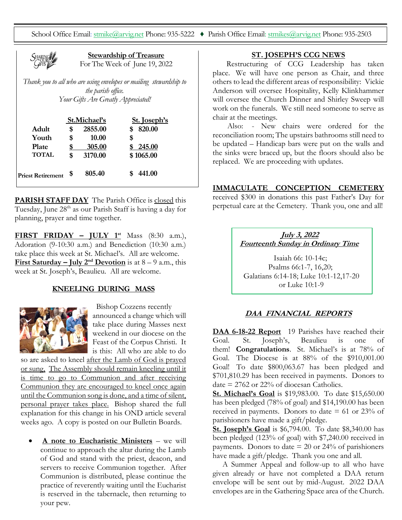School Office Email[: stmike@arvig.net](mailto:stmike@arvig.net) Phone: 935-5222 ♦ Parish Office Email: [stmikes@arvig.net](mailto:stmikes@arvig.net) Phone: 935-2503



**Stewardship of Treasure** For The Week of June 19, 2022

*Thank you to all who are using envelopes or mailing stewardship to the parish office. Your Gifts Are Greatly Appreciated!*

|                          | St.Michael's |         | St. Joseph's |
|--------------------------|--------------|---------|--------------|
| Adult                    | S            | 2855.00 | 820.00       |
| Youth                    | \$           | 10.00   | \$           |
| <b>Plate</b>             |              | 305.00  | \$245.00     |
| <b>TOTAL</b>             | \$           | 3170.00 | \$1065.00    |
| <b>Priest Retirement</b> | \$           | 805.40  | 441.00       |

**PARISH STAFF DAY** The Parish Office is closed this Tuesday, June 28<sup>th</sup> as our Parish Staff is having a day for planning, prayer and time together.

**FIRST FRIDAY – JULY 1st** Mass (8:30 a.m.), Adoration (9-10:30 a.m.) and Benediction (10:30 a.m.) take place this week at St. Michael's. All are welcome. **First Saturday – July**  $2^{nd}$  **Devotion** is at  $8 - 9$  a.m., this week at St. Joseph's, Beaulieu. All are welcome.

## **KNEELING DURING MASS**



Bishop Cozzens recently announced a change which will take place during Masses next weekend in our diocese on the Feast of the Corpus Christi. It is this: All who are able to do

so are asked to kneel after the Lamb of God is prayed or sung, The Assembly should remain kneeling until it is time to go to Communion and after receiving Communion they are encouraged to kneel once again until the Communion song is done, and a time of silent, personal prayer takes place. Bishop shared the full explanation for this change in his OND article several weeks ago. A copy is posted on our Bulletin Boards.

• **A note to Eucharistic Ministers** – we will continue to approach the altar during the Lamb of God and stand with the priest, deacon, and servers to receive Communion together. After Communion is distributed, please continue the practice of reverently waiting until the Eucharist is reserved in the tabernacle, then returning to your pew.

## **ST. JOSEPH'S CCG NEWS**

 Restructuring of CCG Leadership has taken place. We will have one person as Chair, and three others to lead the different areas of responsibility: Vickie Anderson will oversee Hospitality, Kelly Klinkhammer will oversee the Church Dinner and Shirley Sweep will work on the funerals. We still need someone to serve as chair at the meetings.

 Also: - New chairs were ordered for the reconciliation room; The upstairs bathrooms still need to be updated – Handicap bars were put on the walls and the sinks were braced up, but the floors should also be replaced. We are proceeding with updates.

#### **IMMACULATE CONCEPTION CEMETERY**

received \$300 in donations this past Father's Day for perpetual care at the Cemetery. Thank you, one and all!

## **July 3, 2022 Fourteenth Sunday in Ordinary Time**

Isaiah 66: 10-14c; Psalms 66:1-7, 16,20; Galatians 6:14-18; Luke 10:1-12,17-20 or Luke 10:1-9

## **DAA FINANCIAL REPORTS**

**DAA 6-18-22 Report** 19 Parishes have reached their Goal. St. Joseph's, Beaulieu is one of them! **Congratulations**. St. Michael's is at 78% of Goal. The Diocese is at 88% of the \$910,001.00 Goal! To date \$800,063.67 has been pledged and \$701,810.29 has been received in payments. Donors to date  $= 2762$  or 22% of diocesan Catholics.

**<u>St. Michael's Goal</u>** is \$19,983.00. To date \$15,650.00 has been pledged (78% of goal) and \$14,190.00 has been received in payments. Donors to date  $= 61$  or 23% of parishioners have made a gift/pledge.

**St. Joseph's Goal** is \$6,794.00. To date \$8,340.00 has been pledged (123% of goal) with \$7,240.00 received in payments. Donors to date  $= 20$  or 24% of parishioners have made a gift/pledge. Thank you one and all.

 A Summer Appeal and follow-up to all who have given already or have not completed a DAA return envelope will be sent out by mid-August. 2022 DAA envelopes are in the Gathering Space area of the Church.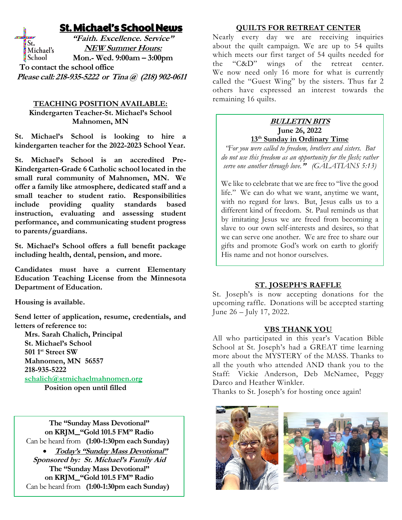## St. Michael's School News

**"Faith. Excellence. Service"** St. **NEW Summer Hours:** Michael's School **Mon.- Wed. 9:00am – 3:00pm To contact the school office Please call: 218-935-5222 or Tina @ (218) 902-0611**

## **TEACHING POSITION AVAILABLE:**

**Kindergarten Teacher-St. Michael's School Mahnomen, MN**

**St. Michael's School is looking to hire a kindergarten teacher for the 2022-2023 School Year.** 

**St. Michael's School is an accredited Pre-Kindergarten-Grade 6 Catholic school located in the small rural community of Mahnomen, MN. We offer a family like atmosphere, dedicated staff and a small teacher to student ratio. Responsibilities include providing quality standards based instruction, evaluating and assessing student performance, and communicating student progress to parents/guardians.**

**St. Michael's School offers a full benefit package including health, dental, pension, and more.**

**Candidates must have a current Elementary Education Teaching License from the Minnesota Department of Education.**

**Housing is available.**

**Send letter of application, resume, credentials, and letters of reference to:**

 **Mrs. Sarah Chalich, Principal St. Michael's School 501 1st Street SW Mahnomen, MN 56557 218-935-5222 [schalich@stmichaelmahnomen.org](mailto:schalich@stmichaelmahnomen.org) Position open until filled**

**The "Sunday Mass Devotional" on KRJM "Gold 101.5 FM" Radio** Can be heard from **(1:00-1:30pm each Sunday)** • **Today's "Sunday Mass Devotional" Sponsored by: St. Michael's Family Aid The "Sunday Mass Devotional" on KRJM "Gold 101.5 FM" Radio** Can be heard from **(1:00-1:30pm each Sunday)**

## **QUILTS FOR RETREAT CENTER**

Nearly every day we are receiving inquiries about the quilt campaign. We are up to 54 quilts which meets our first target of 54 quilts needed for the "C&D" wings of the retreat center. We now need only 16 more for what is currently called the "Guest Wing" by the sisters. Thus far 2 others have expressed an interest towards the remaining 16 quilts.

## **BULLETIN BITS June 26, 2022 13th Sunday in Ordinary Time**

*"For you were called to freedom, brothers and sisters. But do not use this freedom as an opportunity for the flesh; rather serve one another through love.***"** *(GALATIANS 5:13)*

We like to celebrate that we are free to "live the good life." We can do what we want, anytime we want, with no regard for laws. But, Jesus calls us to a different kind of freedom. St. Paul reminds us that by imitating Jesus we are freed from becoming a slave to our own self-interests and desires, so that we can serve one another. We are free to share our gifts and promote God's work on earth to glorify His name and not honor ourselves.

## **ST. JOSEPH'S RAFFLE**

St. Joseph's is now accepting donations for the upcoming raffle. Donations will be accepted starting June 26 – July 17, 2022.

## **VBS THANK YOU**

All who participated in this year's Vacation Bible School at St. Joseph's had a GREAT time learning more about the MYSTERY of the MASS. Thanks to all the youth who attended AND thank you to the Staff: Vickie Anderson, Deb McNamee, Peggy Darco and Heather Winkler.

Thanks to St. Joseph's for hosting once again!



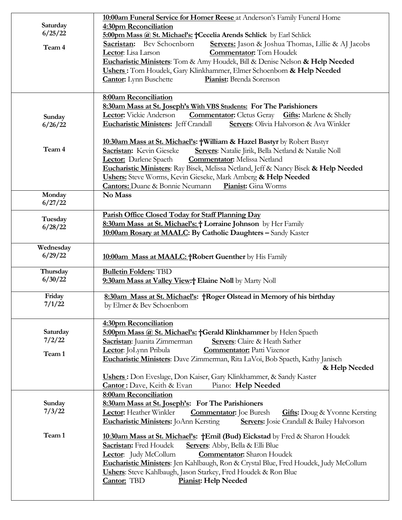|                   | 10:00am Funeral Service for Homer Reese at Anderson's Family Funeral Home                         |  |  |
|-------------------|---------------------------------------------------------------------------------------------------|--|--|
| Saturday          | 4:30pm Reconciliation                                                                             |  |  |
| 6/25/22           | 5:00pm Mass @ St. Michael's: +Cecelia Arends Schlick by Earl Schlick                              |  |  |
| Team 4            | <b>Sacristan:</b> Bev Schoenborn<br>Servers: Jason & Joshua Thomas, Lillie & AJ Jacobs            |  |  |
|                   | Lector: Lisa Larson<br><b>Commentator:</b> Tom Houdek                                             |  |  |
|                   | Eucharistic Ministers: Tom & Amy Houdek, Bill & Denise Nelson & Help Needed                       |  |  |
|                   | Ushers: Tom Houdek, Gary Klinkhammer, Elmer Schoenborn & Help Needed                              |  |  |
|                   | <b>Cantor:</b> Lynn Buschette<br>Pianist: Brenda Sorenson                                         |  |  |
|                   |                                                                                                   |  |  |
|                   | 8:00am Reconciliation                                                                             |  |  |
|                   | 8:30am Mass at St. Joseph's With VBS Students: For The Parishioners                               |  |  |
|                   | <b>Commentator:</b> Cletus Geray <b>Gifts:</b> Marlene & Shelly<br><b>Lector:</b> Vickie Anderson |  |  |
| Sunday<br>6/26/22 | <b>Eucharistic Ministers:</b> Jeff Crandall<br>Servers: Olivia Halvorson & Ava Winkler            |  |  |
|                   |                                                                                                   |  |  |
|                   | 10:30am Mass at St. Michael's: †William & Hazel Bastyr by Robert Bastyr                           |  |  |
| Team 4            | Sacristan: Kevin Gieseke<br>Servers: Natalie Jirik, Bella Netland & Natalie Noll                  |  |  |
|                   | <b>Lector:</b> Darlene Spaeth<br><b>Commentator:</b> Melissa Netland                              |  |  |
|                   | Eucharistic Ministers: Ray Bisek, Melissa Netland, Jeff & Nancy Bisek & Help Needed               |  |  |
|                   | Ushers: Steve Worms, Kevin Gieseke, Mark Amberg & Help Needed                                     |  |  |
|                   | <b>Cantors:</b> Duane & Bonnie Neumann<br>Pianist: Gina Worms                                     |  |  |
| Monday            | No Mass                                                                                           |  |  |
| 6/27/22           |                                                                                                   |  |  |
|                   |                                                                                                   |  |  |
| Tuesday           | Parish Office Closed Today for Staff Planning Day                                                 |  |  |
| 6/28/22           | 8:30am Mass at St. Michael's: + Lorraine Johnson by Her Family                                    |  |  |
|                   | 10:00am Rosary at MAALC: By Catholic Daughters - Sandy Kaster                                     |  |  |
| Wednesday         |                                                                                                   |  |  |
| 6/29/22           |                                                                                                   |  |  |
|                   | 10:00am Mass at MAALC: +Robert Guenther by His Family                                             |  |  |
| Thursday          | <b>Bulletin Folders: TBD</b>                                                                      |  |  |
| 6/30/22           | 9:30am Mass at Valley View: <sup>+</sup> Elaine Noll by Marty Noll                                |  |  |
|                   |                                                                                                   |  |  |
| Friday            | 8:30am Mass at St. Michael's: †Roger Olstead in Memory of his birthday                            |  |  |
| 7/1/22            | by Elmer & Bev Schoenborn                                                                         |  |  |
|                   |                                                                                                   |  |  |
|                   | 4:30pm Reconciliation                                                                             |  |  |
| Saturday          | 5:00pm Mass @ St. Michael's: +Gerald Klinkhammer by Helen Spaeth                                  |  |  |
| 7/2/22            | Sacristan: Juanita Zimmerman<br>Servers: Claire & Heath Sather                                    |  |  |
|                   | Lector: JoLynn Pribula<br><b>Commentator:</b> Patti Vizenor                                       |  |  |
| Team 1            | Eucharistic Ministers: Dave Zimmerman, Rita LaVoi, Bob Spaeth, Kathy Janisch                      |  |  |
|                   | & Help Needed                                                                                     |  |  |
|                   | <b>Ushers:</b> Don Eveslage, Don Kaiser, Gary Klinkhammer, & Sandy Kaster                         |  |  |
|                   | Cantor: Dave, Keith & Evan<br>Piano: Help Needed                                                  |  |  |
|                   | <b>8:00am Reconciliation</b>                                                                      |  |  |
| Sunday            | 8:30am Mass at St. Joseph's: For The Parishioners                                                 |  |  |
| 7/3/22            | Lector: Heather Winkler<br><b>Commentator:</b> Joe Buresh<br><b>Gifts:</b> Doug & Yvonne Kersting |  |  |
|                   | Eucharistic Ministers: JoAnn Kersting<br>Servers: Josie Crandall & Bailey Halvorson               |  |  |
|                   |                                                                                                   |  |  |
| Team 1            | 10:30am Mass at St. Michael's: †Emil (Bud) Eickstad by Fred & Sharon Houdek                       |  |  |
|                   | Sacristan: Fred Houdek<br>Servers: Abby, Bella & Elli Blue                                        |  |  |
|                   | <b>Commentator:</b> Sharon Houdek<br>Lector: Judy McCollum                                        |  |  |
|                   | Eucharistic Ministers: Jen Kahlbaugh, Ron & Crystal Blue, Fred Houdek, Judy McCollum              |  |  |
|                   | Ushers: Steve Kahlbaugh, Jason Starkey, Fred Houdek & Ron Blue                                    |  |  |
|                   | <b>Cantor:</b> TBD<br><b>Pianist: Help Needed</b>                                                 |  |  |
|                   |                                                                                                   |  |  |
|                   |                                                                                                   |  |  |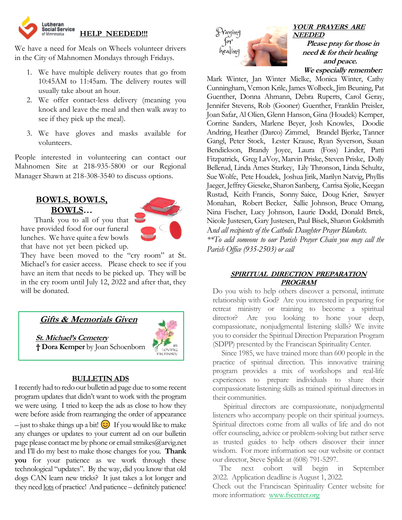

We have a need for Meals on Wheels volunteer drivers in the City of Mahnomen Mondays through Fridays.

- 1. We have multiple delivery routes that go from 10:45AM to 11:45am. The delivery routes will usually take about an hour.
- 2. We offer contact-less delivery (meaning you knock and leave the meal and then walk away to see if they pick up the meal).
- 3. We have gloves and masks available for volunteers.

People interested in volunteering can contact our Mahnomen Site at 218-935-5800 or our Regional Manager Shawn at 218-308-3540 to discuss options.

## **BOWLS, BOWLS, BOWLS…**



 Thank you to all of you that have provided food for our funeral lunches. We have quite a few bowls that have not yet been picked up.

They have been moved to the "cry room" at St. Michael's for easier access. Please check to see if you have an item that needs to be picked up. They will be in the cry room until July 12, 2022 and after that, they will be donated.

 **Gifts & Memorials Given**

**St. Michael's Cemetery † Dora Kemper** by Joan Schoenborn



## **BULLETIN ADS**

Irecently had to redo our bulletin ad page due to some recent program updates that didn't want to work with the program we were using. I tried to keep the ads as close to how they were before aside from rearranging the order of appearance – just to shake things up a bit!  $\bigodot$  If you would like to make any changes or updates to your current ad on our bulletin page please contact me by phone or email stmikes $@$ arvig.net and I'll do my best to make those changes for you. **Thank you** for your patience as we work through these technological "updates". By the way, did you know that old dogs CAN learn new tricks? It just takes a lot longer and they need lots of practice! And patience – definitely patience!



**YOUR PRAYERS ARE NEEDED Please pray for those in need & for their healing and peace. We especially remember:**

Mark Winter, Jan Winter Mielke, Monica Winter, Cathy Cunningham, Vernon Krile, James Wolbeck, Jim Beuning, Pat Guenther, Donna Ahmann, Debra Ruperts, Carol Geray, Jennifer Stevens, Rob (Gooner) Guenther, Franklin Preisler, Joan Safar, Al Olien, Glenn Hanson, Gina (Houdek) Kemper, Corrine Sanders, Marlene Beyer, Josh Knowles, Doodie Andring, Heather (Darco) Zimmel, Brandel Bjerke, Tanner Gangl, Peter Stock, Lester Krause, Ryan Syverson, Susan Bendickson, Brandy Joyce, Laura (Foss) Linder, Patti Fitzpatrick, Greg LaVoy, Marvin Priske, Steven Priske, Dolly Bellerud, Linda Ames Starkey, Lily Thronson, Linda Schultz, Sue Wolfe, Pete Houdek, Joshua Jirik, Marilyn Natvig, Phyllis Jaeger, Jeffrey Gieseke, Sharon Sanberg, Carrisa Sjolie, Keegan Rustad, Keith Francis, Sonny Saice,Doug Krier, Sawyer Monahan, Robert Becker, Sallie Johnson, Bruce Omang, Nina Fischer, Lucy Johnson, Laurie Dodd, Donald Brtek, Nicole Justesen, Gary Justesen, Paul Bisek, Sharon Goldsmith A*nd all recipients of the Catholic Daughter Prayer Blankets.*

*\*\*To add someone to our Parish Prayer Chain you may call the Parish Office (935-2503) or call* 

## **SPIRITUAL DIRECTION PREPARATION PROGRAM**

Do you wish to help others discover a personal, intimate relationship with God? Are you interested in preparing for retreat ministry or training to become a spiritual director? Are you looking to hone your deep, compassionate, nonjudgmental listening skills? We invite you to consider the Spiritual Direction Preparation Program (SDPP) presented by the Franciscan Spirituality Center.

 Since 1985, we have trained more than 600 people in the practice of spiritual direction. This innovative training program provides a mix of workshops and real-life experiences to prepare individuals to share their compassionate listening skills as trained spiritual directors in their communities.

 Spiritual directors are compassionate, nonjudgmental listeners who accompany people on their spiritual journeys. Spiritual directors come from all walks of life and do not offer counseling, advice or problem-solving but rather serve as trusted guides to help others discover their inner wisdom. For more information see our website or contact our director, Steve Spilde at (608) 791-5297.

 The next cohort will begin in September 2022. Application deadline is August 1, 2022.

Check out the Franciscan Spirituality Center website for more information: [www.fscenter.org](http://www.fscenter.org/)